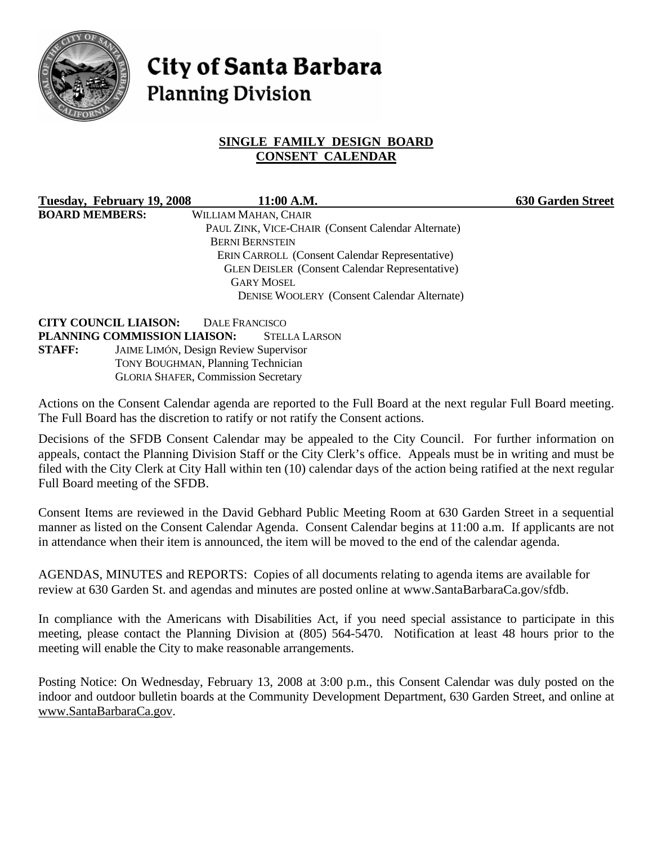

# **City of Santa Barbara Planning Division**

# **SINGLE FAMILY DESIGN BOARD CONSENT CALENDAR**

**Tuesday, February 19, 2008 11:00 A.M. 630 Garden Street BOARD MEMBERS:** WILLIAM MAHAN, CHAIR PAUL ZINK, VICE-CHAIR (Consent Calendar Alternate) BERNI BERNSTEIN ERIN CARROLL (Consent Calendar Representative) GLEN DEISLER (Consent Calendar Representative) GARY MOSEL DENISE WOOLERY (Consent Calendar Alternate)

**CITY COUNCIL LIAISON:** DALE FRANCISCO **PLANNING COMMISSION LIAISON:** STELLA LARSON **STAFF:** JAIME LIMÓN, Design Review Supervisor TONY BOUGHMAN, Planning Technician GLORIA SHAFER, Commission Secretary

Actions on the Consent Calendar agenda are reported to the Full Board at the next regular Full Board meeting. The Full Board has the discretion to ratify or not ratify the Consent actions.

Decisions of the SFDB Consent Calendar may be appealed to the City Council. For further information on appeals, contact the Planning Division Staff or the City Clerk's office. Appeals must be in writing and must be filed with the City Clerk at City Hall within ten (10) calendar days of the action being ratified at the next regular Full Board meeting of the SFDB.

Consent Items are reviewed in the David Gebhard Public Meeting Room at 630 Garden Street in a sequential manner as listed on the Consent Calendar Agenda. Consent Calendar begins at 11:00 a.m. If applicants are not in attendance when their item is announced, the item will be moved to the end of the calendar agenda.

AGENDAS, MINUTES and REPORTS: Copies of all documents relating to agenda items are available for review at 630 Garden St. and agendas and minutes are posted online at www.SantaBarbaraCa.gov/sfdb.

In compliance with the Americans with Disabilities Act, if you need special assistance to participate in this meeting, please contact the Planning Division at (805) 564-5470. Notification at least 48 hours prior to the meeting will enable the City to make reasonable arrangements.

Posting Notice: On Wednesday, February 13, 2008 at 3:00 p.m., this Consent Calendar was duly posted on the indoor and outdoor bulletin boards at the Community Development Department, 630 Garden Street, and online at www.SantaBarbaraCa.gov.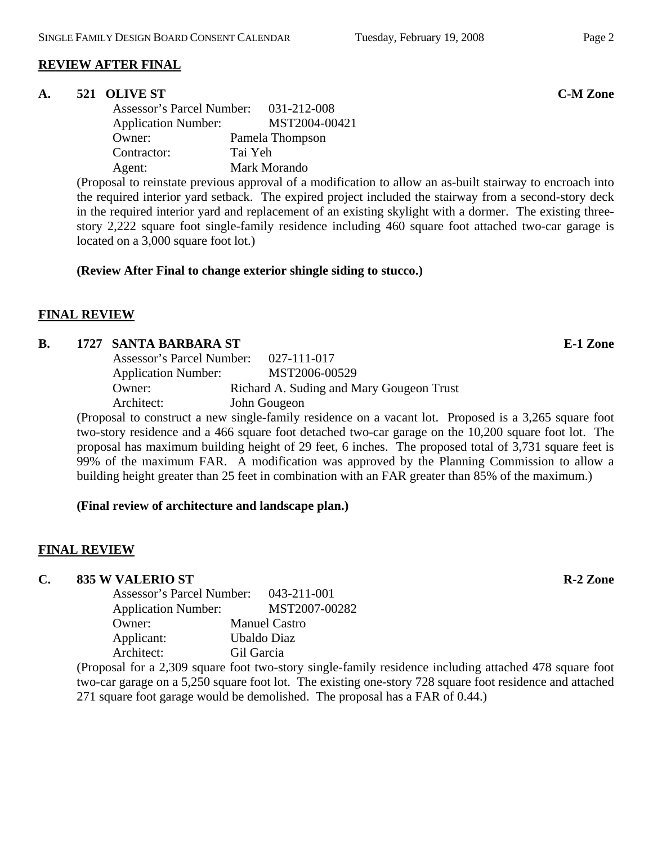## **REVIEW AFTER FINAL**

## **A. 521 OLIVE ST C-M Zone**

 Assessor's Parcel Number: 031-212-008 Application Number: MST2004-00421 Owner: Pamela Thompson Contractor: Tai Yeh Agent: Mark Morando

(Proposal to reinstate previous approval of a modification to allow an as-built stairway to encroach into the required interior yard setback. The expired project included the stairway from a second-story deck in the required interior yard and replacement of an existing skylight with a dormer. The existing threestory 2,222 square foot single-family residence including 460 square foot attached two-car garage is located on a 3,000 square foot lot.)

## **(Review After Final to change exterior shingle siding to stucco.)**

# **FINAL REVIEW**

## **B.** 1727 SANTA BARBARA ST **E-1** Zone

| Assessor's Parcel Number:  | 027-111-017                              |
|----------------------------|------------------------------------------|
| <b>Application Number:</b> | MST2006-00529                            |
| Owner:                     | Richard A. Suding and Mary Gougeon Trust |
| Architect:                 | John Gougeon                             |

(Proposal to construct a new single-family residence on a vacant lot. Proposed is a 3,265 square foot two-story residence and a 466 square foot detached two-car garage on the 10,200 square foot lot. The proposal has maximum building height of 29 feet, 6 inches. The proposed total of 3,731 square feet is 99% of the maximum FAR. A modification was approved by the Planning Commission to allow a building height greater than 25 feet in combination with an FAR greater than 85% of the maximum.)

## **(Final review of architecture and landscape plan.)**

# **FINAL REVIEW**

# **C.** 835 W VALERIO ST **R-2** Zone

| Assessor's Parcel Number:  | 043-211-001          |
|----------------------------|----------------------|
| <b>Application Number:</b> | MST2007-00282        |
| Owner:                     | <b>Manuel Castro</b> |
| Applicant:                 | Ubaldo Diaz          |
| Architect:                 | Gil Garcia           |
|                            |                      |

(Proposal for a 2,309 square foot two-story single-family residence including attached 478 square foot two-car garage on a 5,250 square foot lot. The existing one-story 728 square foot residence and attached 271 square foot garage would be demolished. The proposal has a FAR of 0.44.)